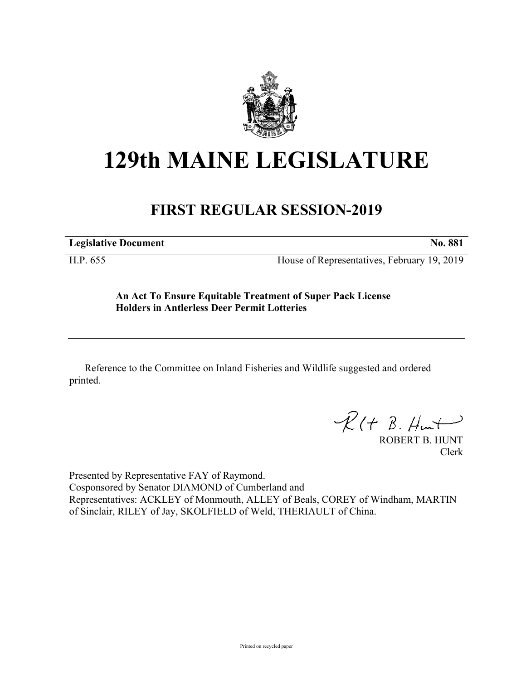

## **129th MAINE LEGISLATURE**

## **FIRST REGULAR SESSION-2019**

**Legislative Document No. 881**

H.P. 655 House of Representatives, February 19, 2019

**An Act To Ensure Equitable Treatment of Super Pack License Holders in Antlerless Deer Permit Lotteries**

Reference to the Committee on Inland Fisheries and Wildlife suggested and ordered printed.

 $R(H B. H<sub>un</sub>+)$ 

ROBERT B. HUNT Clerk

Presented by Representative FAY of Raymond. Cosponsored by Senator DIAMOND of Cumberland and Representatives: ACKLEY of Monmouth, ALLEY of Beals, COREY of Windham, MARTIN of Sinclair, RILEY of Jay, SKOLFIELD of Weld, THERIAULT of China.